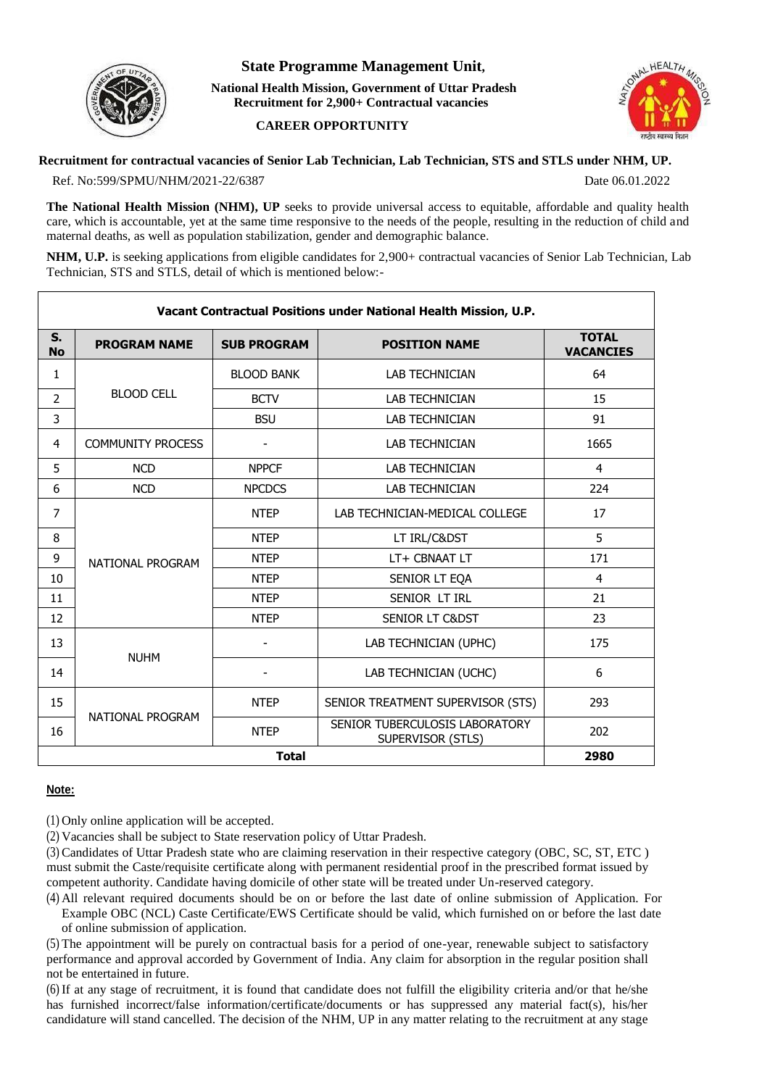

## **State Programme Management Unit,**

**National Health Mission, Government of Uttar Pradesh Recruitment for 2,900+ Contractual vacancies** 

## **CAREER OPPORTUNITY**



## **Recruitment for contractual vacancies of Senior Lab Technician, Lab Technician, STS and STLS under NHM, UP.** Ref. No:599/SPMU/NHM/2021-22/6387 Date 06.01.2022

**The National Health Mission (NHM), UP** seeks to provide universal access to equitable, affordable and quality health care, which is accountable, yet at the same time responsive to the needs of the people, resulting in the reduction of child and maternal deaths, as well as population stabilization, gender and demographic balance.

**NHM, U.P.** is seeking applications from eligible candidates for 2,900+ contractual vacancies of Senior Lab Technician, Lab Technician, STS and STLS, detail of which is mentioned below:-

| Vacant Contractual Positions under National Health Mission, U.P. |                          |                    |                                                     |                                  |
|------------------------------------------------------------------|--------------------------|--------------------|-----------------------------------------------------|----------------------------------|
| S.<br><b>No</b>                                                  | <b>PROGRAM NAME</b>      | <b>SUB PROGRAM</b> | <b>POSITION NAME</b>                                | <b>TOTAL</b><br><b>VACANCIES</b> |
| 1                                                                | <b>BLOOD CELL</b>        | <b>BLOOD BANK</b>  | <b>LAB TECHNICIAN</b>                               | 64                               |
| $\overline{2}$                                                   |                          | <b>BCTV</b>        | <b>LAB TECHNICIAN</b>                               | 15                               |
| 3                                                                |                          | <b>BSU</b>         | <b>LAB TECHNICIAN</b>                               | 91                               |
| 4                                                                | <b>COMMUNITY PROCESS</b> |                    | <b>LAB TECHNICIAN</b>                               | 1665                             |
| 5                                                                | <b>NCD</b>               | <b>NPPCF</b>       | <b>LAB TECHNICIAN</b>                               | 4                                |
| 6                                                                | <b>NCD</b>               | <b>NPCDCS</b>      | <b>LAB TECHNICIAN</b>                               | 224                              |
| 7                                                                | NATIONAL PROGRAM         | <b>NTEP</b>        | LAB TECHNICIAN-MEDICAL COLLEGE                      | 17                               |
| 8                                                                |                          | <b>NTEP</b>        | LT IRL/C&DST                                        | 5                                |
| 9                                                                |                          | <b>NTEP</b>        | LT+ CBNAAT LT                                       | 171                              |
| 10                                                               |                          | <b>NTEP</b>        | SENIOR LT EQA                                       | 4                                |
| 11                                                               |                          | <b>NTEP</b>        | SENIOR LT IRL                                       | 21                               |
| 12                                                               |                          | <b>NTEP</b>        | <b>SENIOR LT C&amp;DST</b>                          | 23                               |
| 13                                                               | <b>NUHM</b>              |                    | LAB TECHNICIAN (UPHC)                               | 175                              |
| 14                                                               |                          |                    | LAB TECHNICIAN (UCHC)                               | 6                                |
| 15                                                               | NATIONAL PROGRAM         | <b>NTEP</b>        | SENIOR TREATMENT SUPERVISOR (STS)                   | 293                              |
| 16                                                               |                          | <b>NTEP</b>        | SENIOR TUBERCULOSIS LABORATORY<br>SUPERVISOR (STLS) | 202                              |
| <b>Total</b>                                                     |                          |                    |                                                     | 2980                             |

## **Note:**

(1) Only online application will be accepted.

(2) Vacancies shall be subject to State reservation policy of Uttar Pradesh.

(3) Candidates of Uttar Pradesh state who are claiming reservation in their respective category (OBC, SC, ST, ETC ) must submit the Caste/requisite certificate along with permanent residential proof in the prescribed format issued by competent authority. Candidate having domicile of other state will be treated under Un-reserved category.

(4) All relevant required documents should be on or before the last date of online submission of Application. For Example OBC (NCL) Caste Certificate/EWS Certificate should be valid, which furnished on or before the last date of online submission of application.

(5) The appointment will be purely on contractual basis for a period of one-year, renewable subject to satisfactory performance and approval accorded by Government of India. Any claim for absorption in the regular position shall not be entertained in future.

(6) If at any stage of recruitment, it is found that candidate does not fulfill the eligibility criteria and/or that he/she has furnished incorrect/false information/certificate/documents or has suppressed any material fact(s), his/her candidature will stand cancelled. The decision of the NHM, UP in any matter relating to the recruitment at any stage